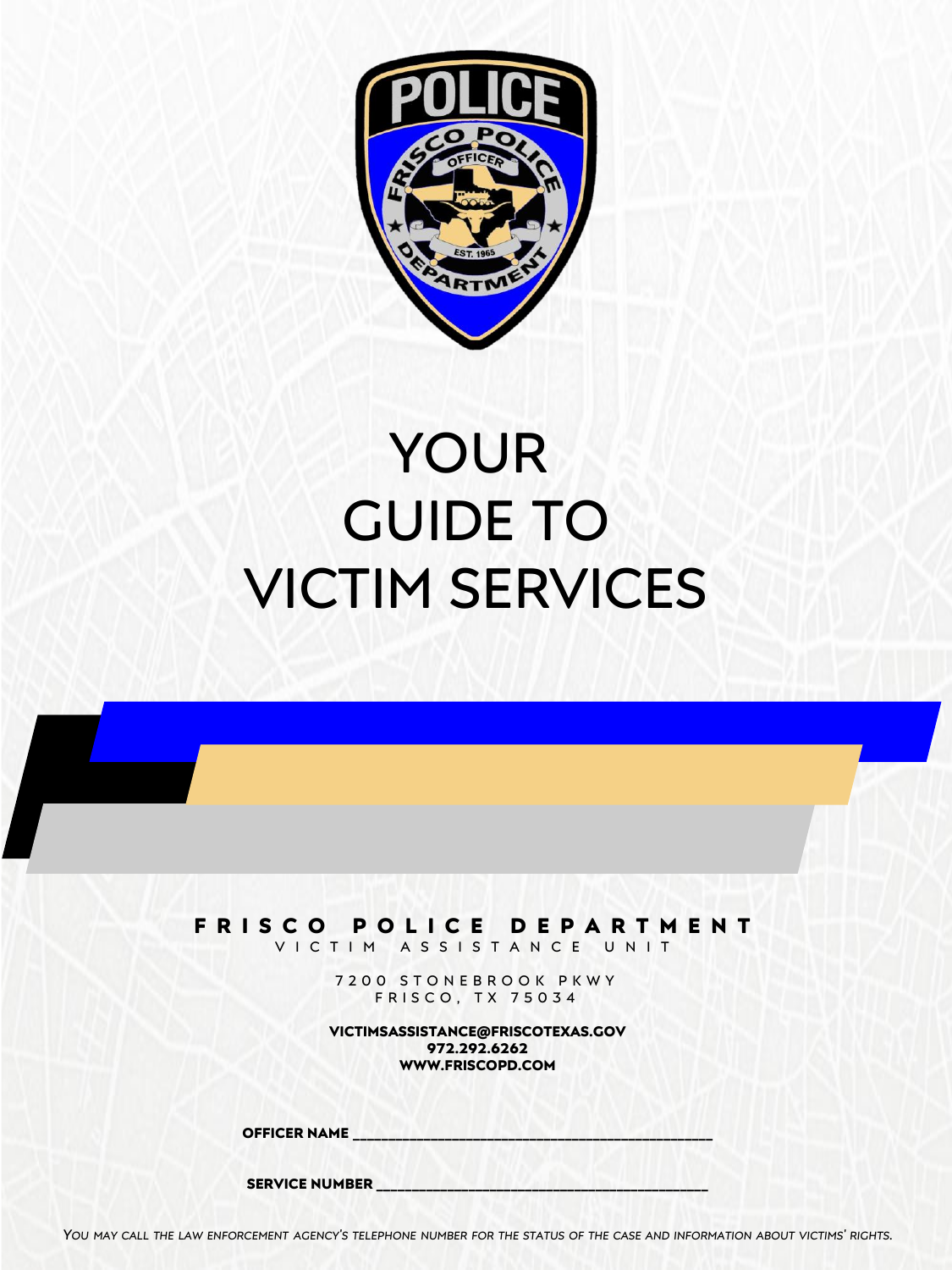

# YOUR GUIDE TO VICTIM SERVICES

### **F R I S C O P O L I C E D E P A R T M E N T**

V I C T I M A S S I S T A N C E U N I T

7 2 0 0 S T O N E B R O O K P K W Y FRISCO, TX 75034

**VICTIMSASSISTANCE@FRISCOTEXAS.GOV 972.292.6262 WWW.FRISCOPD.COM**

**OFFICER NAME \_\_\_\_\_\_\_\_\_\_\_\_\_\_\_\_\_\_\_\_\_\_\_\_\_\_\_\_\_\_\_\_\_\_\_\_\_\_\_\_\_\_\_\_\_\_\_\_\_\_\_**

**SERVICE NUMBER \_\_\_\_\_\_\_\_\_\_\_\_\_\_\_\_\_\_\_\_\_\_\_\_\_\_\_\_\_\_\_\_\_\_\_\_\_\_\_\_\_\_\_\_\_\_\_**

YOU MAY CALL THE LAW ENFORCEMENT AGENCY'S TELEPHONE NUMBER FOR THE STATUS OF THE CASE AND INFORMATION ABOUT VICTIMS' RIGHTS.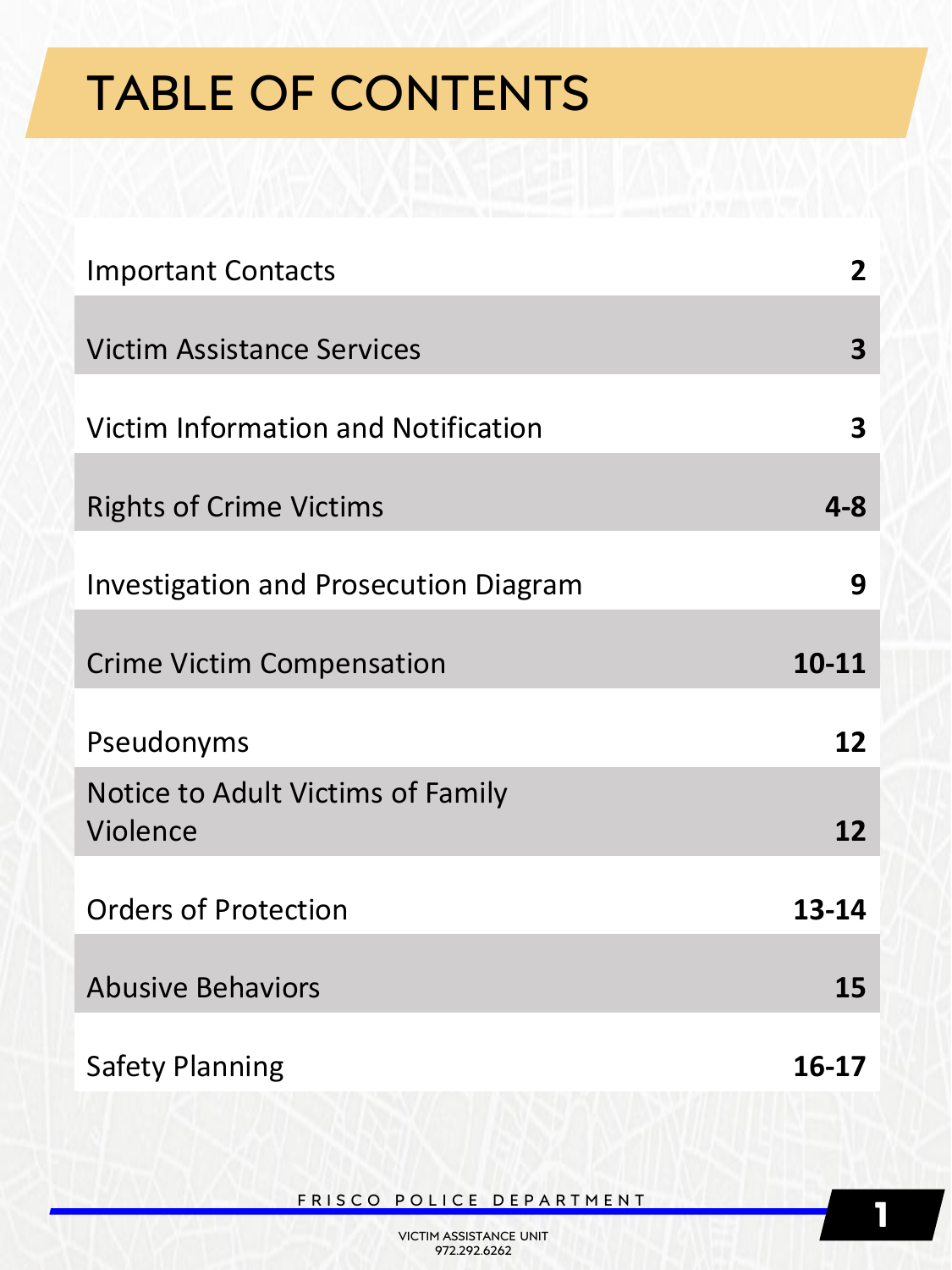# TABLE OF CONTENTS

| <b>Important Contacts</b>                     | 2                       |
|-----------------------------------------------|-------------------------|
| <b>Victim Assistance Services</b>             | 3                       |
| Victim Information and Notification           | $\overline{\mathbf{3}}$ |
| <b>Rights of Crime Victims</b>                | $4 - 8$                 |
| <b>Investigation and Prosecution Diagram</b>  | 9                       |
| <b>Crime Victim Compensation</b>              | $10 - 11$               |
| Pseudonyms                                    | 12                      |
| Notice to Adult Victims of Family<br>Violence | 12                      |
| <b>Orders of Protection</b>                   | $13 - 14$               |
| <b>Abusive Behaviors</b>                      | 15                      |
| <b>Safety Planning</b>                        | 16-17                   |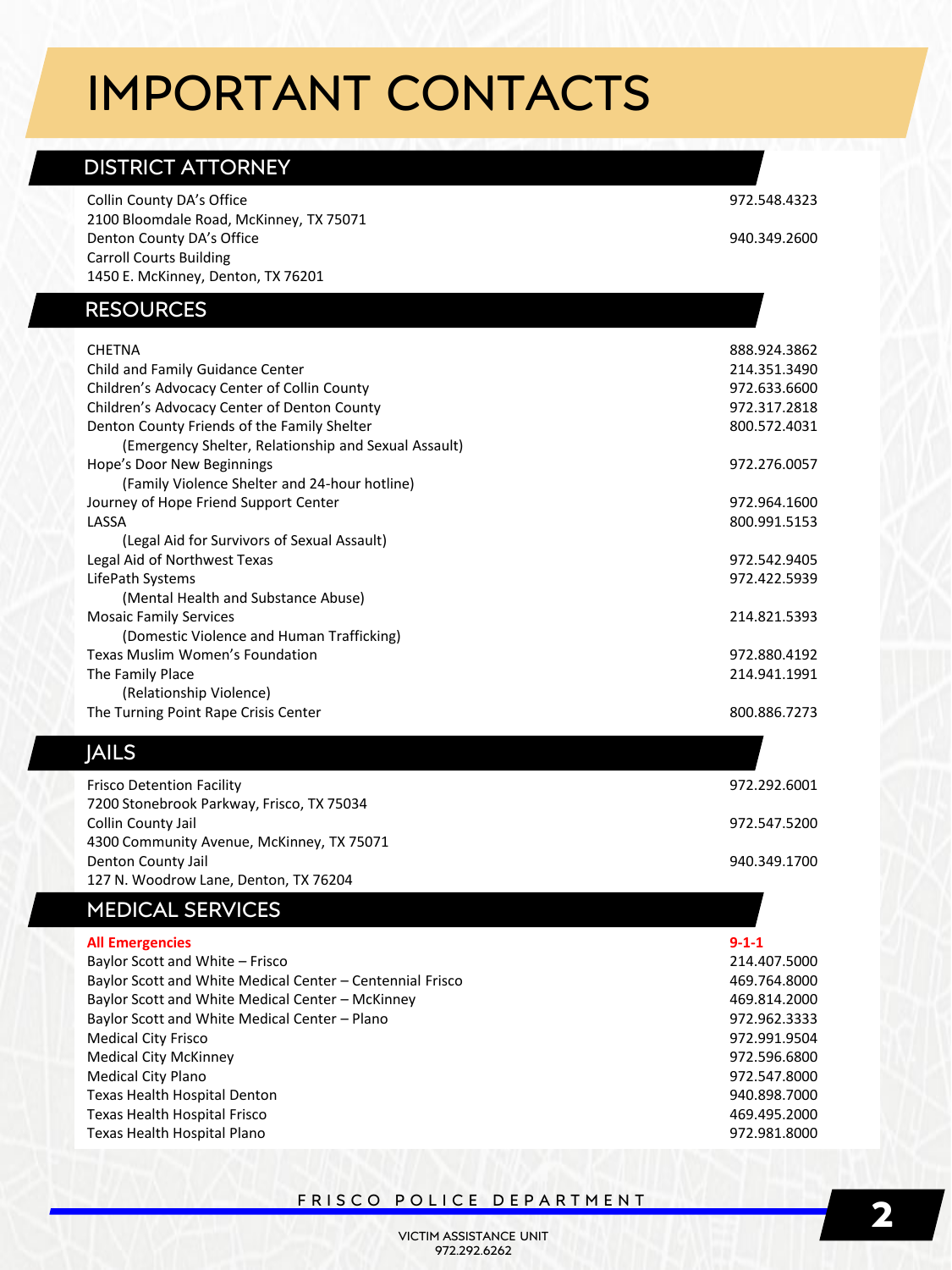## IMPORTANT CONTACTS

### DISTRICT ATTORNEY

| Collin County DA's Office<br>2100 Bloomdale Road, McKinney, TX 75071 | 972.548.4323 |
|----------------------------------------------------------------------|--------------|
| Denton County DA's Office                                            | 940.349.2600 |
| <b>Carroll Courts Building</b>                                       |              |
| 1450 E. McKinney, Denton, TX 76201                                   |              |
|                                                                      |              |
| <b>RESOURCES</b>                                                     |              |
| <b>CHETNA</b>                                                        | 888.924.3862 |
| Child and Family Guidance Center                                     | 214.351.3490 |
| Children's Advocacy Center of Collin County                          | 972.633.6600 |
| Children's Advocacy Center of Denton County                          | 972.317.2818 |
| Denton County Friends of the Family Shelter                          | 800.572.4031 |
| (Emergency Shelter, Relationship and Sexual Assault)                 |              |
| Hope's Door New Beginnings                                           | 972.276.0057 |
| (Family Violence Shelter and 24-hour hotline)                        |              |
| Journey of Hope Friend Support Center                                | 972.964.1600 |
| LASSA                                                                | 800.991.5153 |
| (Legal Aid for Survivors of Sexual Assault)                          |              |
| Legal Aid of Northwest Texas                                         | 972.542.9405 |
| LifePath Systems                                                     | 972.422.5939 |
| (Mental Health and Substance Abuse)                                  |              |
| <b>Mosaic Family Services</b>                                        | 214.821.5393 |
| (Domestic Violence and Human Trafficking)                            |              |
| Texas Muslim Women's Foundation                                      | 972.880.4192 |
| The Family Place                                                     | 214.941.1991 |
| (Relationship Violence)                                              |              |
| The Turning Point Rape Crisis Center                                 | 800.886.7273 |

### JAILS

Frisco Detention Facility 7200 Stonebrook Parkway, Frisco, TX 75034 Collin County Jail 4300 Community Avenue, McKinney, TX 75071 Denton County Jail 127 N. Woodrow Lane, Denton, TX 76204 972.292.6001 972.547.5200 940.349.1700

#### MEDICAL SERVICES

| <b>All Emergencies</b>                                    | $9 - 1 - 1$  |
|-----------------------------------------------------------|--------------|
| Baylor Scott and White - Frisco                           | 214.407.5000 |
| Baylor Scott and White Medical Center - Centennial Frisco | 469.764.8000 |
| Baylor Scott and White Medical Center - McKinney          | 469.814.2000 |
| Baylor Scott and White Medical Center - Plano             | 972.962.3333 |
| <b>Medical City Frisco</b>                                | 972.991.9504 |
| <b>Medical City McKinney</b>                              | 972.596.6800 |
| <b>Medical City Plano</b>                                 | 972.547.8000 |
| Texas Health Hospital Denton                              | 940.898.7000 |
| Texas Health Hospital Frisco                              | 469.495.2000 |
| Texas Health Hospital Plano                               | 972.981.8000 |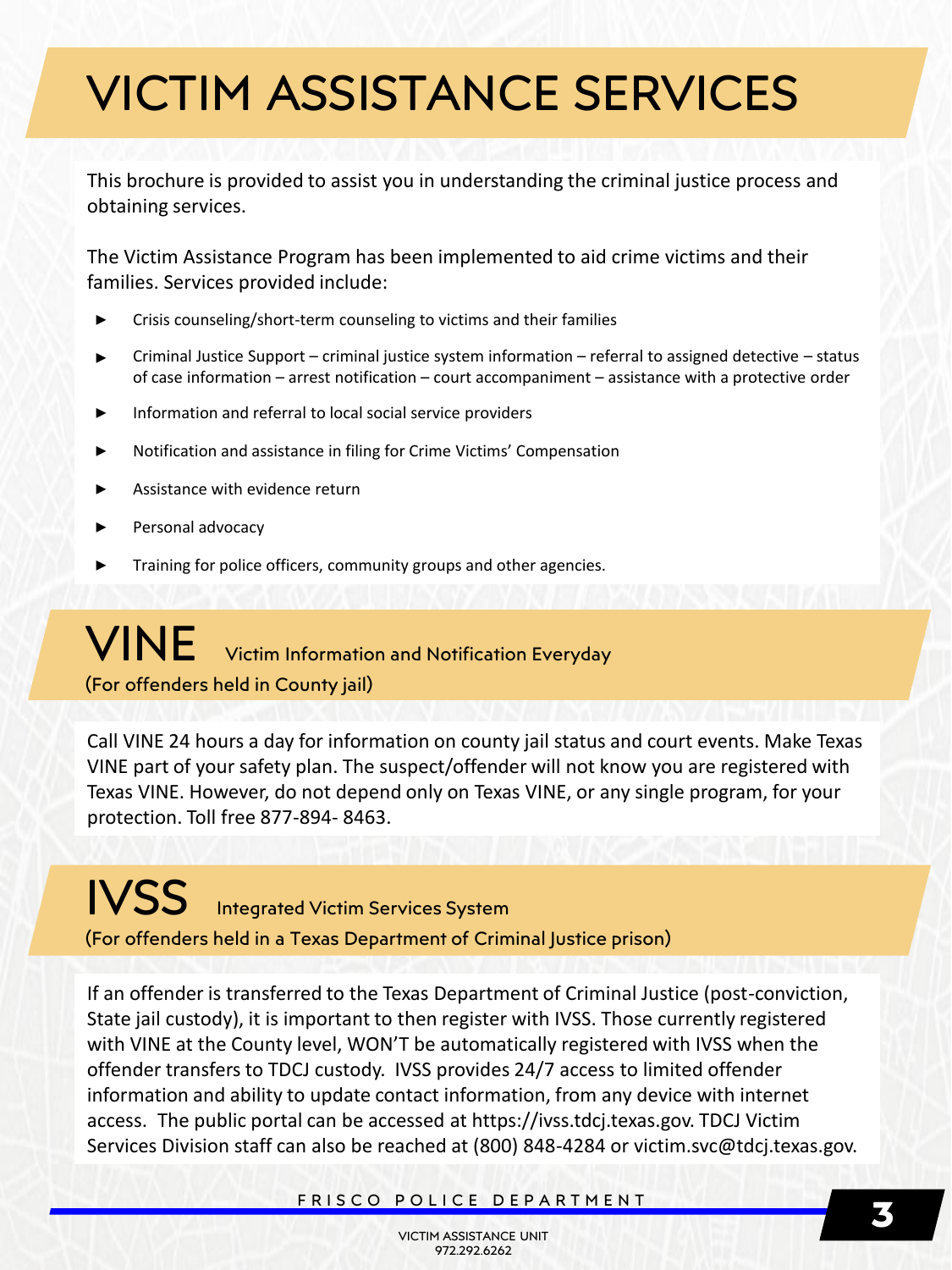# VICTIM ASSISTANCE SERVICES

This brochure is provided to assist you in understanding the criminal justice process and obtaining services.

The Victim Assistance Program has been implemented to aid crime victims and their families. Services provided include:

- **‣** Crisis counseling/short-term counseling to victims and their families
- **‣** Criminal Justice Support criminal justice system information referral to assigned detective status of case information – arrest notification – court accompaniment – assistance with a protective order
- Information and referral to local social service providers
- **‣** Notification and assistance in filing for Crime Victims' Compensation
- **‣** Assistance with evidence return
- **‣** Personal advocacy
- **‣** Training for police officers, community groups and other agencies.

### VINE Victim Information and Notification Everyday (For offenders held in County jail)

Call VINE 24 hours a day for information on county jail status and court events. Make Texas VINE part of your safety plan. The suspect/offender will not know you are registered with Texas VINE. However, do not depend only on Texas VINE, or any single program, for your protection. Toll free 877-894- 8463.

### IVSS Integrated Victim Services System (For offenders held in a Texas Department of Criminal Justice prison)

If an offender is transferred to the Texas Department of Criminal Justice (post-conviction, State jail custody), it is important to then register with IVSS. Those currently registered with VINE at the County level, WON'T be automatically registered with IVSS when the offender transfers to TDCJ custody. IVSS provides 24/7 access to limited offender information and ability to update contact information, from any device with internet access. The public portal can be accessed at https://ivss.tdcj.texas.gov. TDCJ Victim Services Division staff can also be reached at (800) 848-4284 or victim.svc@tdcj.texas.gov.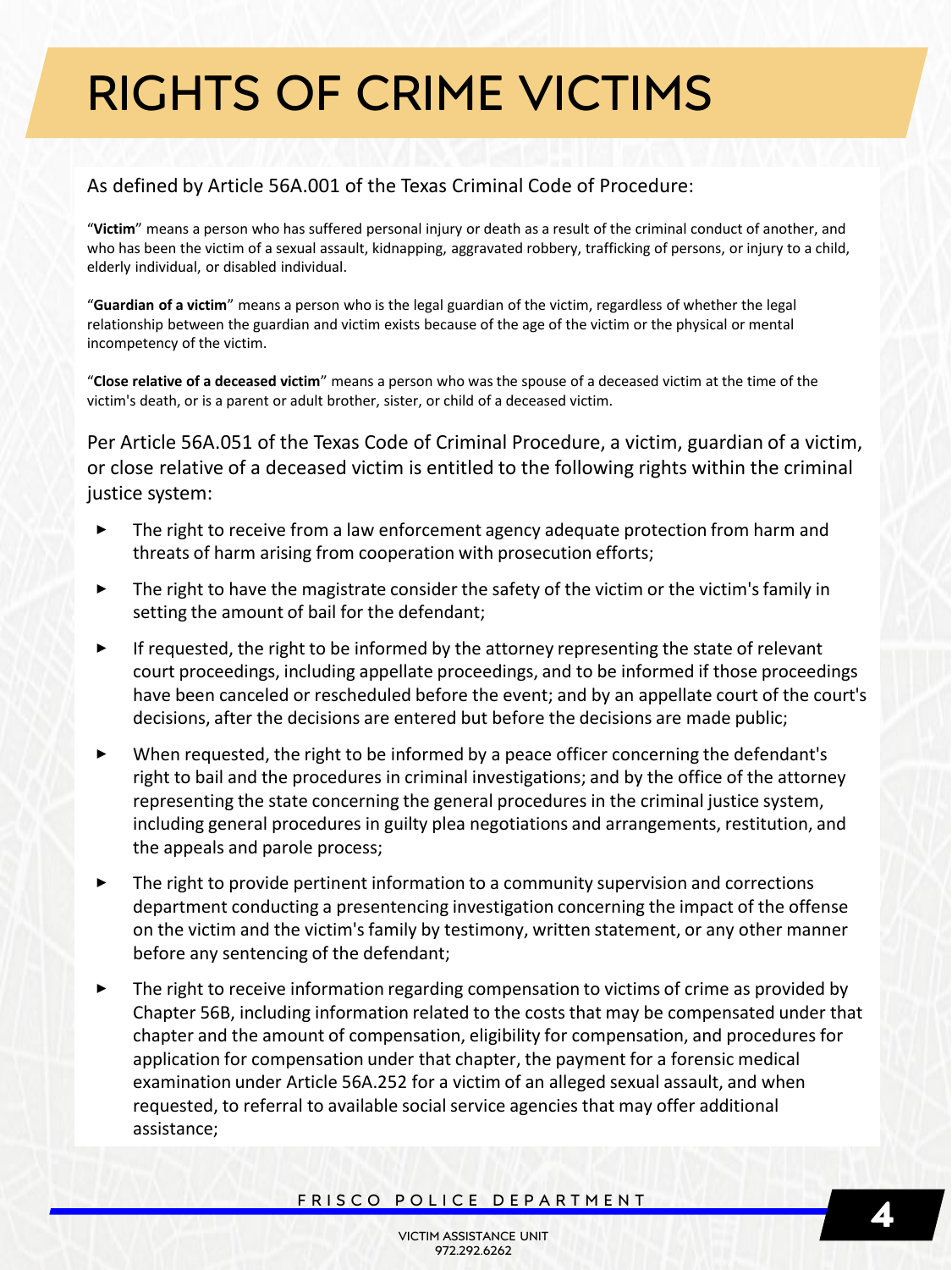#### As defined by Article 56A.001 of the Texas Criminal Code of Procedure:

"**Victim**" means a person who has suffered personal injury or death as a result of the criminal conduct of another, and who has been the victim of a sexual assault, kidnapping, aggravated robbery, trafficking of persons, or injury to a child, elderly individual, or disabled individual.

"**Guardian of a victim**" means a person who is the legal guardian of the victim, regardless of whether the legal relationship between the guardian and victim exists because of the age of the victim or the physical or mental incompetency of the victim.

"**Close relative of a deceased victim**" means a person who was the spouse of a deceased victim at the time of the victim's death, or is a parent or adult brother, sister, or child of a deceased victim.

Per Article 56A.051 of the Texas Code of Criminal Procedure, a victim, guardian of a victim, or close relative of a deceased victim is entitled to the following rights within the criminal justice system:

- **‣** The right to receive from a law enforcement agency adequate protection from harm and threats of harm arising from cooperation with prosecution efforts;
- The right to have the magistrate consider the safety of the victim or the victim's family in setting the amount of bail for the defendant;
- **‣** If requested, the right to be informed by the attorney representing the state of relevant court proceedings, including appellate proceedings, and to be informed if those proceedings have been canceled or rescheduled before the event; and by an appellate court of the court's decisions, after the decisions are entered but before the decisions are made public;
- **‣** When requested, the right to be informed by a peace officer concerning the defendant's right to bail and the procedures in criminal investigations; and by the office of the attorney representing the state concerning the general procedures in the criminal justice system, including general procedures in guilty plea negotiations and arrangements, restitution, and the appeals and parole process;
- **‣** The right to provide pertinent information to a community supervision and corrections department conducting a presentencing investigation concerning the impact of the offense on the victim and the victim's family by testimony, written statement, or any other manner before any sentencing of the defendant;
- **‣** The right to receive information regarding compensation to victims of crime as provided by Chapter 56B, including information related to the costs that may be compensated under that chapter and the amount of compensation, eligibility for compensation, and procedures for application for compensation under that chapter, the payment for a forensic medical examination under Article 56A.252 for a victim of an alleged sexual assault, and when requested, to referral to available social service agencies that may offer additional assistance;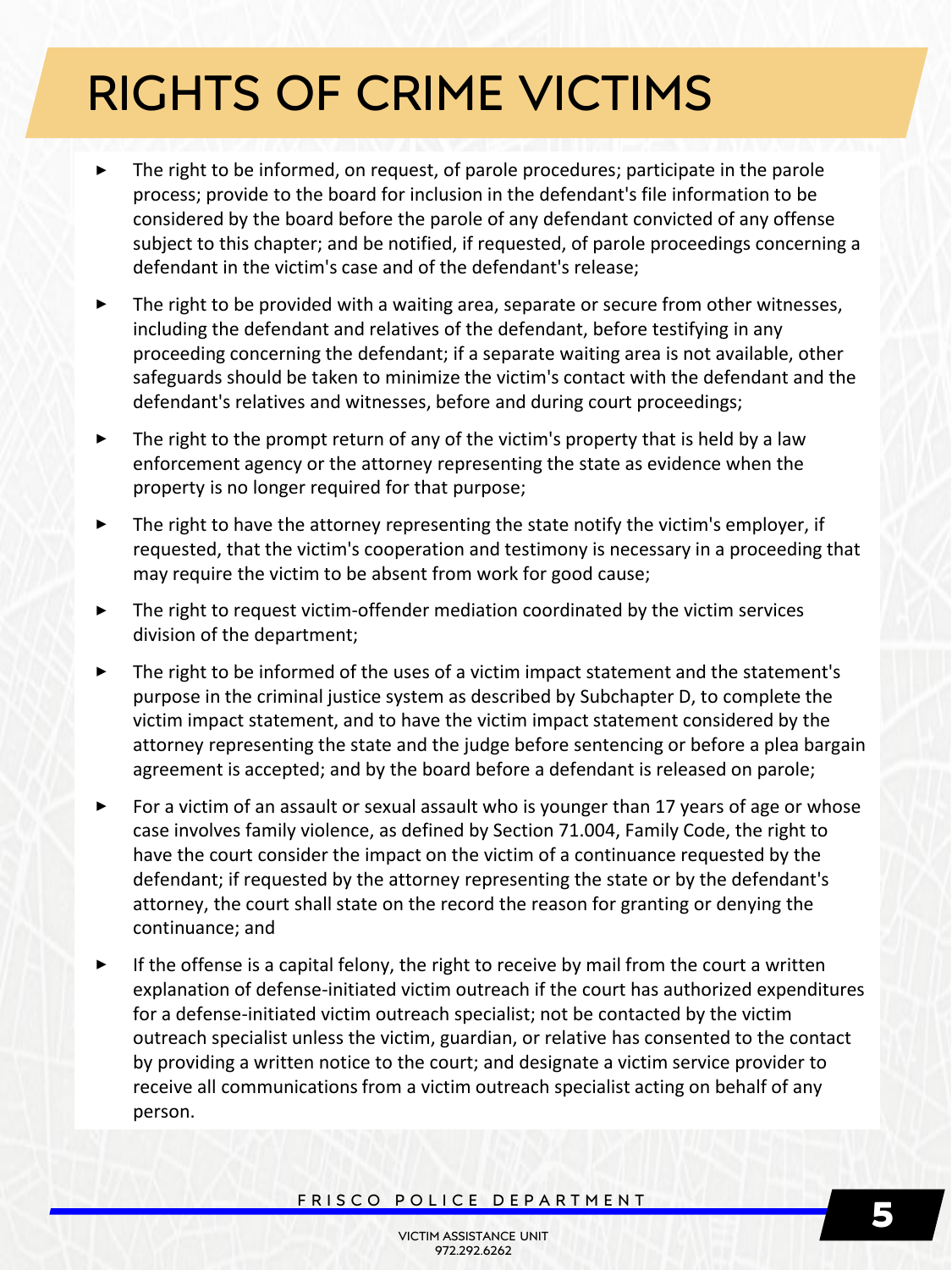- **‣** The right to be informed, on request, of parole procedures; participate in the parole process; provide to the board for inclusion in the defendant's file information to be considered by the board before the parole of any defendant convicted of any offense subject to this chapter; and be notified, if requested, of parole proceedings concerning a defendant in the victim's case and of the defendant's release;
- **‣** The right to be provided with a waiting area, separate or secure from other witnesses, including the defendant and relatives of the defendant, before testifying in any proceeding concerning the defendant; if a separate waiting area is not available, other safeguards should be taken to minimize the victim's contact with the defendant and the defendant's relatives and witnesses, before and during court proceedings;
- **‣** The right to the prompt return of any of the victim's property that is held by a law enforcement agency or the attorney representing the state as evidence when the property is no longer required for that purpose;
- **‣** The right to have the attorney representing the state notify the victim's employer, if requested, that the victim's cooperation and testimony is necessary in a proceeding that may require the victim to be absent from work for good cause;
- **‣** The right to request victim-offender mediation coordinated by the victim services division of the department;
- **‣** The right to be informed of the uses of a victim impact statement and the statement's purpose in the criminal justice system as described by Subchapter D, to complete the victim impact statement, and to have the victim impact statement considered by the attorney representing the state and the judge before sentencing or before a plea bargain agreement is accepted; and by the board before a defendant is released on parole;
- ► For a victim of an assault or sexual assault who is younger than 17 years of age or whose case involves family violence, as defined by Section 71.004, Family Code, the right to have the court consider the impact on the victim of a continuance requested by the defendant; if requested by the attorney representing the state or by the defendant's attorney, the court shall state on the record the reason for granting or denying the continuance; and
- **‣** If the offense is a capital felony, the right to receive by mail from the court a written explanation of defense-initiated victim outreach if the court has authorized expenditures for a defense-initiated victim outreach specialist; not be contacted by the victim outreach specialist unless the victim, guardian, or relative has consented to the contact by providing a written notice to the court; and designate a victim service provider to receive all communications from a victim outreach specialist acting on behalf of any person.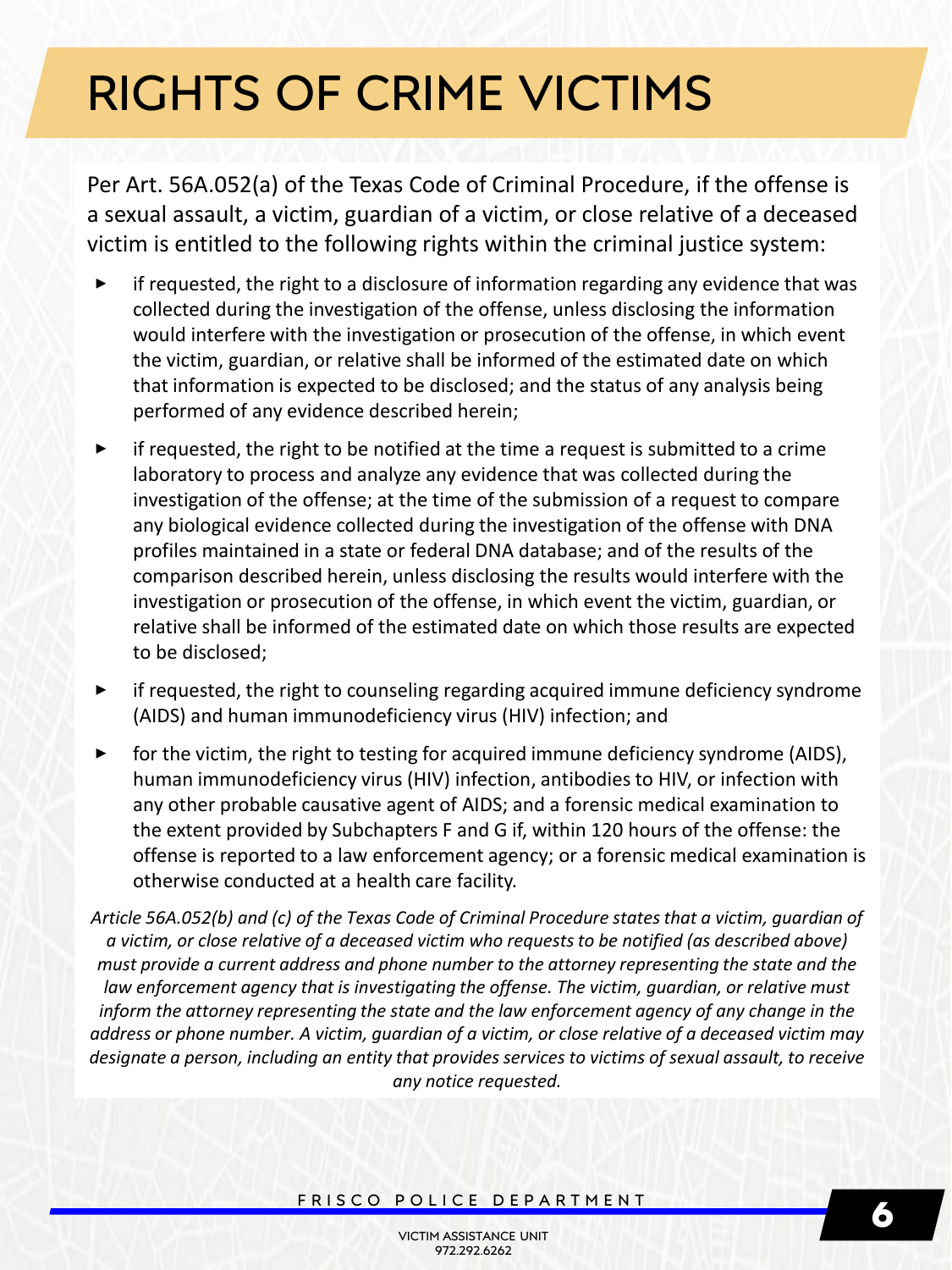Per Art. 56A.052(a) of the Texas Code of Criminal Procedure, if the offense is a sexual assault, a victim, guardian of a victim, or close relative of a deceased victim is entitled to the following rights within the criminal justice system:

- **‣** if requested, the right to a disclosure of information regarding any evidence that was collected during the investigation of the offense, unless disclosing the information would interfere with the investigation or prosecution of the offense, in which event the victim, guardian, or relative shall be informed of the estimated date on which that information is expected to be disclosed; and the status of any analysis being performed of any evidence described herein;
- **‣** if requested, the right to be notified at the time a request is submitted to a crime laboratory to process and analyze any evidence that was collected during the investigation of the offense; at the time of the submission of a request to compare any biological evidence collected during the investigation of the offense with DNA profiles maintained in a state or federal DNA database; and of the results of the comparison described herein, unless disclosing the results would interfere with the investigation or prosecution of the offense, in which event the victim, guardian, or relative shall be informed of the estimated date on which those results are expected to be disclosed;
- **‣** if requested, the right to counseling regarding acquired immune deficiency syndrome (AIDS) and human immunodeficiency virus (HIV) infection; and
- ► for the victim, the right to testing for acquired immune deficiency syndrome (AIDS), human immunodeficiency virus (HIV) infection, antibodies to HIV, or infection with any other probable causative agent of AIDS; and a forensic medical examination to the extent provided by Subchapters F and G if, within 120 hours of the offense: the offense is reported to a law enforcement agency; or a forensic medical examination is otherwise conducted at a health care facility.

*Article 56A.052(b) and (c) of the Texas Code of Criminal Procedure states that a victim, guardian of a victim, or close relative of a deceased victim who requests to be notified (as described above) must provide a current address and phone number to the attorney representing the state and the law enforcement agency that is investigating the offense. The victim, guardian, or relative must inform the attorney representing the state and the law enforcement agency of any change in the address or phone number. A victim, guardian of a victim, or close relative of a deceased victim may designate a person, including an entity that provides services to victims of sexual assault, to receive any notice requested.*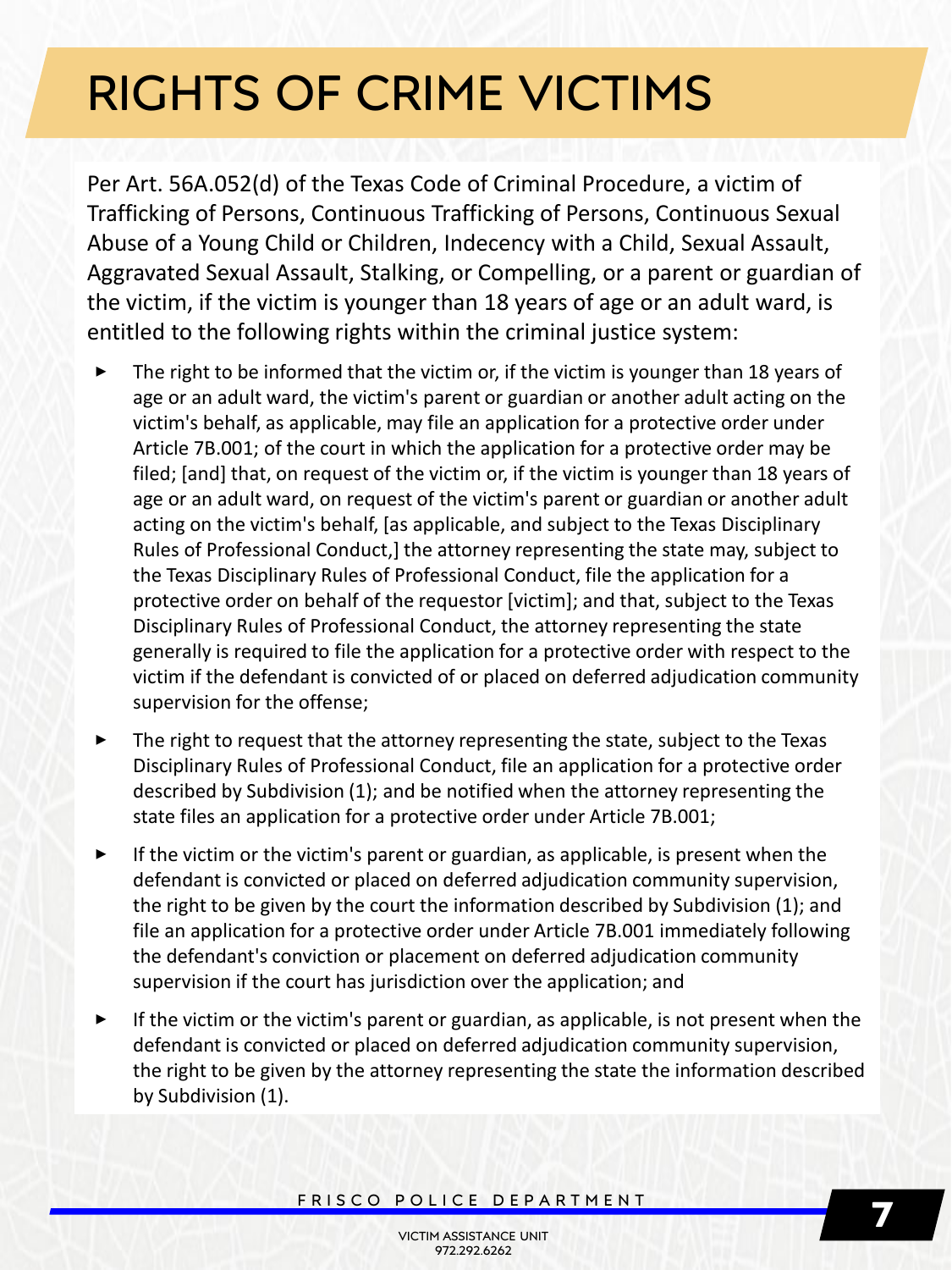Per Art. 56A.052(d) of the Texas Code of Criminal Procedure, a victim of Trafficking of Persons, Continuous Trafficking of Persons, Continuous Sexual Abuse of a Young Child or Children, Indecency with a Child, Sexual Assault, Aggravated Sexual Assault, Stalking, or Compelling, or a parent or guardian of the victim, if the victim is younger than 18 years of age or an adult ward, is entitled to the following rights within the criminal justice system:

- The right to be informed that the victim or, if the victim is younger than 18 years of age or an adult ward, the victim's parent or guardian or another adult acting on the victim's behalf, as applicable, may file an application for a protective order under Article 7B.001; of the court in which the application for a protective order may be filed; [and] that, on request of the victim or, if the victim is younger than 18 years of age or an adult ward, on request of the victim's parent or guardian or another adult acting on the victim's behalf, [as applicable, and subject to the Texas Disciplinary Rules of Professional Conduct,] the attorney representing the state may, subject to the Texas Disciplinary Rules of Professional Conduct, file the application for a protective order on behalf of the requestor [victim]; and that, subject to the Texas Disciplinary Rules of Professional Conduct, the attorney representing the state generally is required to file the application for a protective order with respect to the victim if the defendant is convicted of or placed on deferred adjudication community supervision for the offense;
- **‣** The right to request that the attorney representing the state, subject to the Texas Disciplinary Rules of Professional Conduct, file an application for a protective order described by Subdivision (1); and be notified when the attorney representing the state files an application for a protective order under Article 7B.001;
- **‣** If the victim or the victim's parent or guardian, as applicable, is present when the defendant is convicted or placed on deferred adjudication community supervision, the right to be given by the court the information described by Subdivision (1); and file an application for a protective order under Article 7B.001 immediately following the defendant's conviction or placement on deferred adjudication community supervision if the court has jurisdiction over the application; and
- **‣** If the victim or the victim's parent or guardian, as applicable, is not present when the defendant is convicted or placed on deferred adjudication community supervision, the right to be given by the attorney representing the state the information described by Subdivision (1).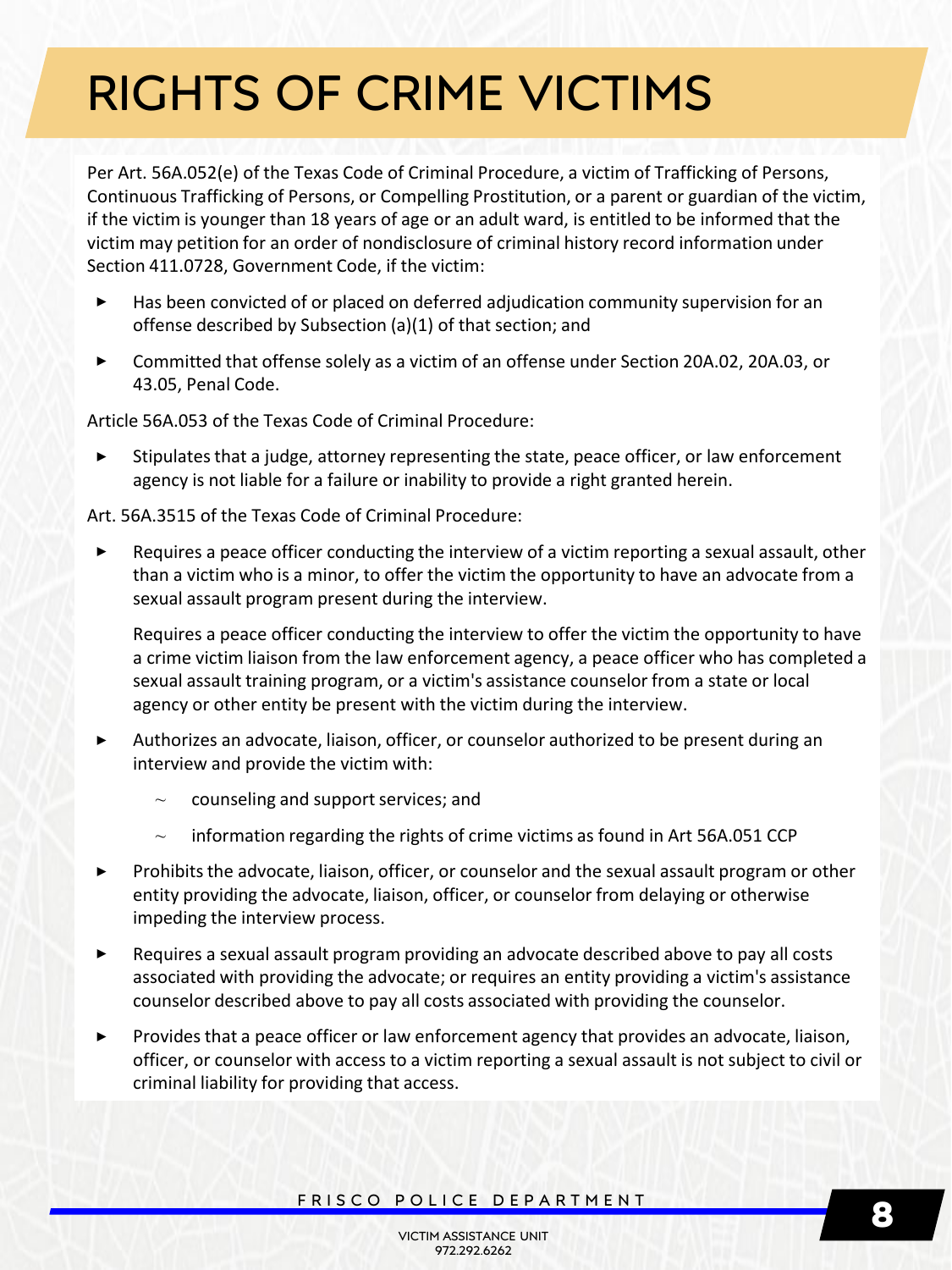Per Art. 56A.052(e) of the Texas Code of Criminal Procedure, a victim of Trafficking of Persons, Continuous Trafficking of Persons, or Compelling Prostitution, or a parent or guardian of the victim, if the victim is younger than 18 years of age or an adult ward, is entitled to be informed that the victim may petition for an order of nondisclosure of criminal history record information under Section 411.0728, Government Code, if the victim:

- **‣** Has been convicted of or placed on deferred adjudication community supervision for an offense described by Subsection (a)(1) of that section; and
- **‣** Committed that offense solely as a victim of an offense under Section 20A.02, 20A.03, or 43.05, Penal Code.

Article 56A.053 of the Texas Code of Criminal Procedure:

**‣** Stipulates that a judge, attorney representing the state, peace officer, or law enforcement agency is not liable for a failure or inability to provide a right granted herein.

Art. 56A.3515 of the Texas Code of Criminal Procedure:

**‣** Requires a peace officer conducting the interview of a victim reporting a sexual assault, other than a victim who is a minor, to offer the victim the opportunity to have an advocate from a sexual assault program present during the interview.

Requires a peace officer conducting the interview to offer the victim the opportunity to have a crime victim liaison from the law enforcement agency, a peace officer who has completed a sexual assault training program, or a victim's assistance counselor from a state or local agency or other entity be present with the victim during the interview.

- **‣** Authorizes an advocate, liaison, officer, or counselor authorized to be present during an interview and provide the victim with:
	- $\sim$  counseling and support services; and
	- $\sim$  information regarding the rights of crime victims as found in Art 56A.051 CCP
- **‣** Prohibits the advocate, liaison, officer, or counselor and the sexual assault program or other entity providing the advocate, liaison, officer, or counselor from delaying or otherwise impeding the interview process.
- **‣** Requires a sexual assault program providing an advocate described above to pay all costs associated with providing the advocate; or requires an entity providing a victim's assistance counselor described above to pay all costs associated with providing the counselor.
- **‣** Provides that a peace officer or law enforcement agency that provides an advocate, liaison, officer, or counselor with access to a victim reporting a sexual assault is not subject to civil or criminal liability for providing that access.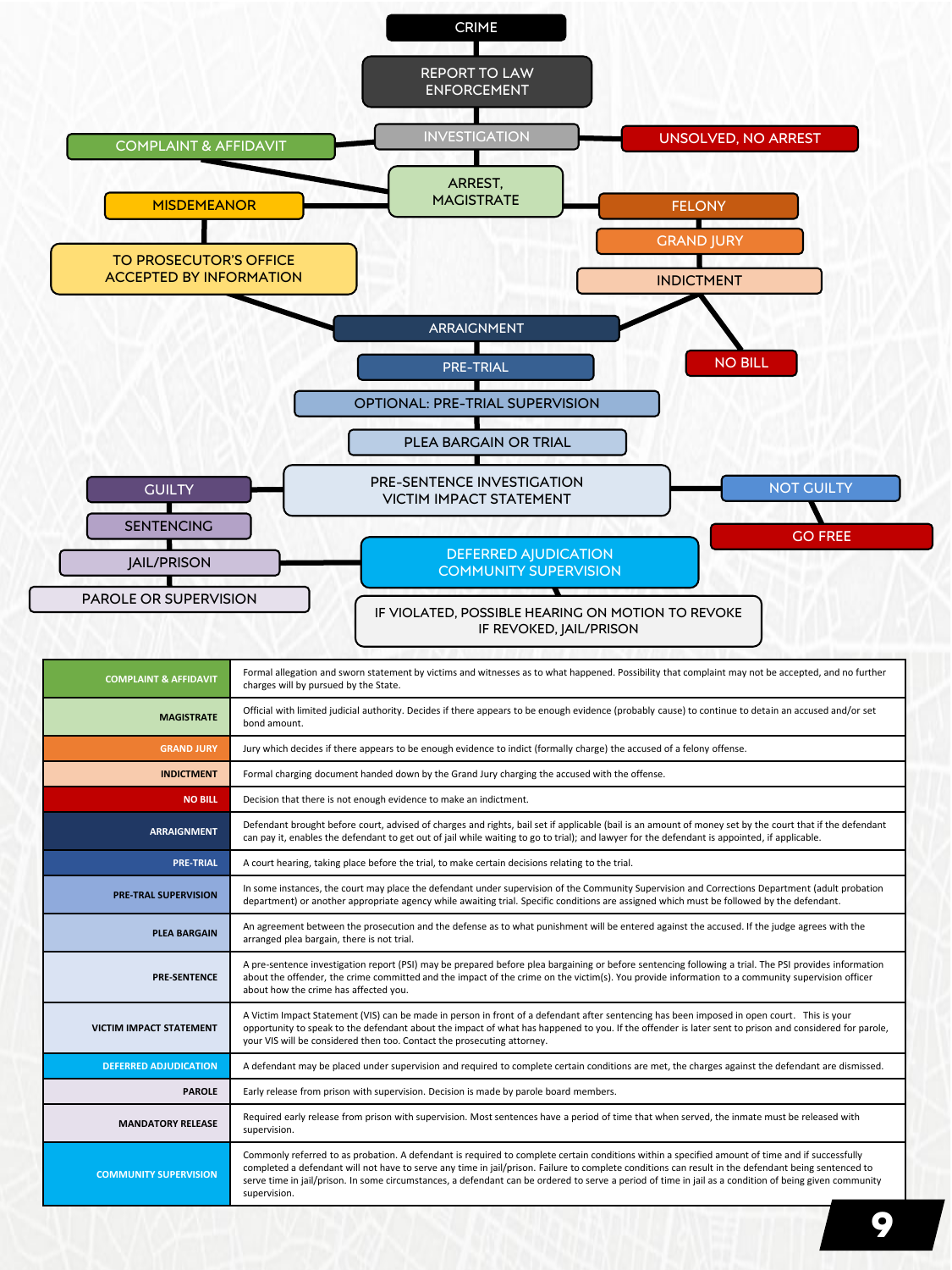

| <b>COMPLAINT &amp; AFFIDAVIT</b> | Formal allegation and sworn statement by victims and witnesses as to what happened. Possibility that complaint may not be accepted, and no further<br>charges will by pursued by the State.                                                                                                                                                                                                                                                                                      |
|----------------------------------|----------------------------------------------------------------------------------------------------------------------------------------------------------------------------------------------------------------------------------------------------------------------------------------------------------------------------------------------------------------------------------------------------------------------------------------------------------------------------------|
| <b>MAGISTRATE</b>                | Official with limited judicial authority. Decides if there appears to be enough evidence (probably cause) to continue to detain an accused and/or set<br>bond amount.                                                                                                                                                                                                                                                                                                            |
| <b>GRAND JURY</b>                | Jury which decides if there appears to be enough evidence to indict (formally charge) the accused of a felony offense.                                                                                                                                                                                                                                                                                                                                                           |
| <b>INDICTMENT</b>                | Formal charging document handed down by the Grand Jury charging the accused with the offense.                                                                                                                                                                                                                                                                                                                                                                                    |
| <b>NO BILL</b>                   | Decision that there is not enough evidence to make an indictment.                                                                                                                                                                                                                                                                                                                                                                                                                |
| <b>ARRAIGNMENT</b>               | Defendant brought before court, advised of charges and rights, bail set if applicable (bail is an amount of money set by the court that if the defendant<br>can pay it, enables the defendant to get out of jail while waiting to go to trial); and lawyer for the defendant is appointed, if applicable.                                                                                                                                                                        |
| <b>PRE-TRIAL</b>                 | A court hearing, taking place before the trial, to make certain decisions relating to the trial.                                                                                                                                                                                                                                                                                                                                                                                 |
| <b>PRE-TRAL SUPERVISION</b>      | In some instances, the court may place the defendant under supervision of the Community Supervision and Corrections Department (adult probation<br>department) or another appropriate agency while awaiting trial. Specific conditions are assigned which must be followed by the defendant.                                                                                                                                                                                     |
| <b>PLEA BARGAIN</b>              | An agreement between the prosecution and the defense as to what punishment will be entered against the accused. If the judge agrees with the<br>arranged plea bargain, there is not trial.                                                                                                                                                                                                                                                                                       |
| <b>PRE-SENTENCE</b>              | A pre-sentence investigation report (PSI) may be prepared before plea bargaining or before sentencing following a trial. The PSI provides information<br>about the offender, the crime committed and the impact of the crime on the victim(s). You provide information to a community supervision officer<br>about how the crime has affected you.                                                                                                                               |
| <b>VICTIM IMPACT STATEMENT</b>   | A Victim Impact Statement (VIS) can be made in person in front of a defendant after sentencing has been imposed in open court. This is your<br>opportunity to speak to the defendant about the impact of what has happened to you. If the offender is later sent to prison and considered for parole,<br>your VIS will be considered then too. Contact the prosecuting attorney.                                                                                                 |
| <b>DEFERRED ADJUDICATION</b>     | A defendant may be placed under supervision and required to complete certain conditions are met, the charges against the defendant are dismissed.                                                                                                                                                                                                                                                                                                                                |
| <b>PAROLE</b>                    | Early release from prison with supervision. Decision is made by parole board members.                                                                                                                                                                                                                                                                                                                                                                                            |
| <b>MANDATORY RELEASE</b>         | Required early release from prison with supervision. Most sentences have a period of time that when served, the inmate must be released with<br>supervision.                                                                                                                                                                                                                                                                                                                     |
| <b>COMMUNITY SUPERVISION</b>     | Commonly referred to as probation. A defendant is required to complete certain conditions within a specified amount of time and if successfully<br>completed a defendant will not have to serve any time in jail/prison. Failure to complete conditions can result in the defendant being sentenced to<br>serve time in jail/prison. In some circumstances, a defendant can be ordered to serve a period of time in jail as a condition of being given community<br>supervision. |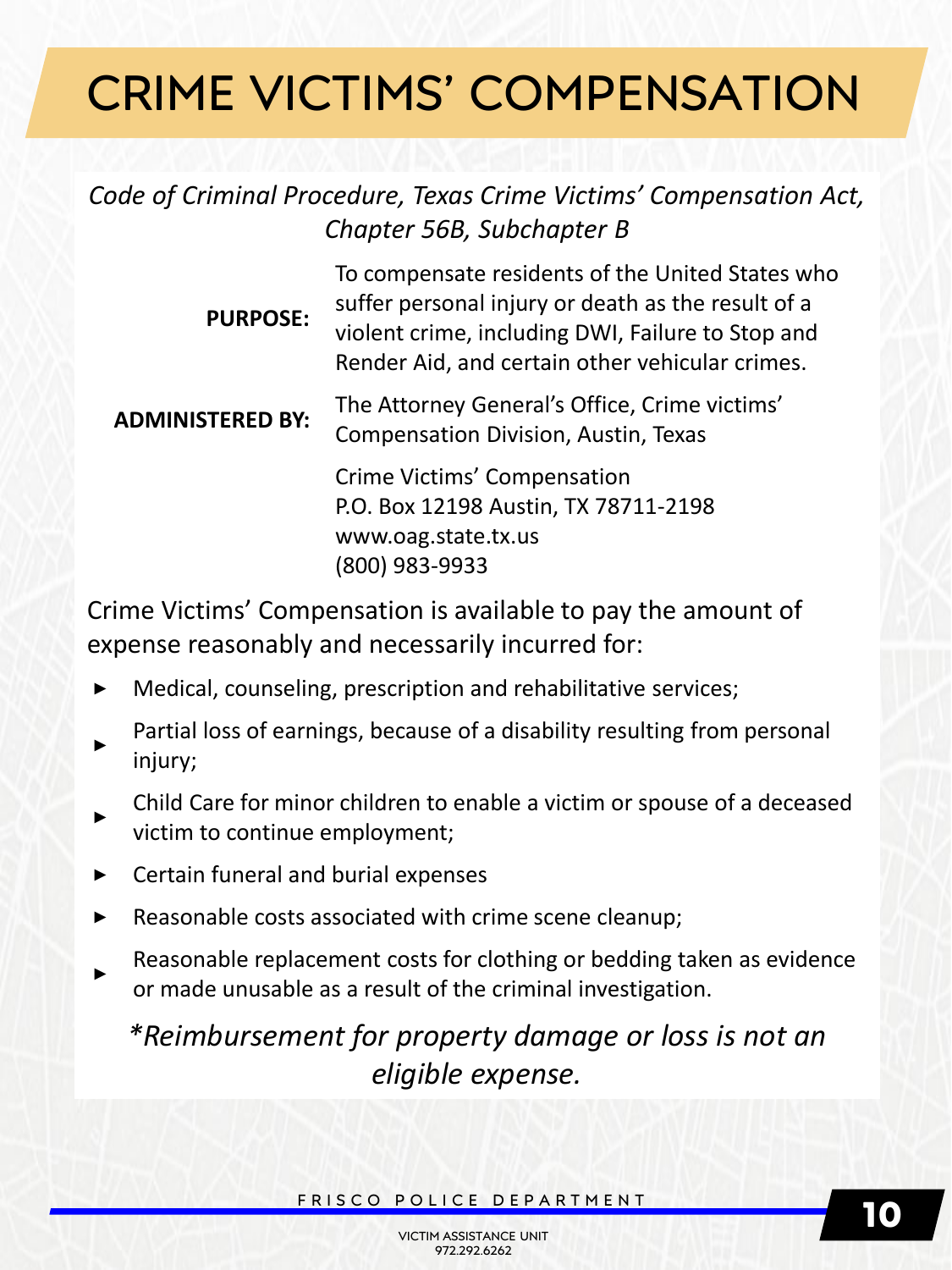# CRIME VICTIMS' COMPENSATION

*Code of Criminal Procedure, Texas Crime Victims' Compensation Act, Chapter 56B, Subchapter B*

| <b>PURPOSE:</b>         | To compensate residents of the United States who<br>suffer personal injury or death as the result of a<br>violent crime, including DWI, Failure to Stop and<br>Render Aid, and certain other vehicular crimes. |
|-------------------------|----------------------------------------------------------------------------------------------------------------------------------------------------------------------------------------------------------------|
| <b>ADMINISTERED BY:</b> | The Attorney General's Office, Crime victims'<br><b>Compensation Division, Austin, Texas</b>                                                                                                                   |
|                         | Crime Victims' Compensation<br>P.O. Box 12198 Austin, TX 78711-2198<br>www.oag.state.tx.us<br>(800) 983-9933                                                                                                   |

Crime Victims' Compensation is available to pay the amount of expense reasonably and necessarily incurred for:

- **‣** Medical, counseling, prescription and rehabilitative services;
- **‣** Partial loss of earnings, because of a disability resulting from personal injury;
- **‣** Child Care for minor children to enable a victim or spouse of a deceased victim to continue employment;
- **‣** Certain funeral and burial expenses
- Reasonable costs associated with crime scene cleanup;
- **‣** Reasonable replacement costs for clothing or bedding taken as evidence or made unusable as a result of the criminal investigation.

*\*Reimbursement for property damage or loss is not an eligible expense.*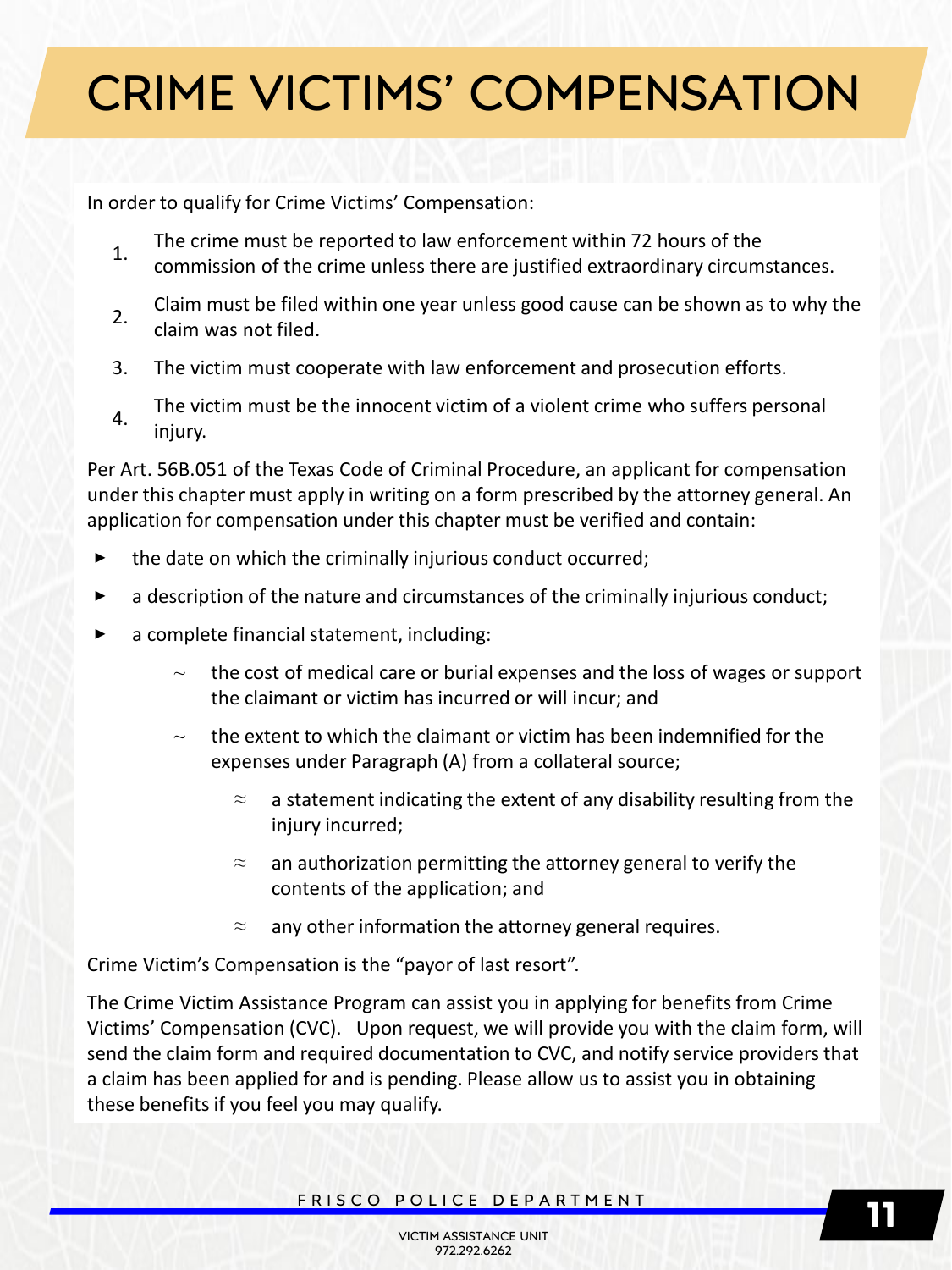# CRIME VICTIMS' COMPENSATION

In order to qualify for Crime Victims' Compensation:

- 1. The crime must be reported to law enforcement within 72 hours of the commission of the crime unless there are justified extraordinary circumstances.
- 2. Claim must be filed within one year unless good cause can be shown as to why the claim was not filed.
- 3. The victim must cooperate with law enforcement and prosecution efforts.
- $4.$  The victim must be the innocent victim of a violent crime who suffers personal injury.

Per Art. 56B.051 of the Texas Code of Criminal Procedure, an applicant for compensation under this chapter must apply in writing on a form prescribed by the attorney general. An application for compensation under this chapter must be verified and contain:

- the date on which the criminally injurious conduct occurred;
- a description of the nature and circumstances of the criminally injurious conduct;
- a complete financial statement, including:
	- ⁓ the cost of medical care or burial expenses and the loss of wages or support the claimant or victim has incurred or will incur; and
	- $\sim$  the extent to which the claimant or victim has been indemnified for the expenses under Paragraph (A) from a collateral source;
		- $\approx$  a statement indicating the extent of any disability resulting from the injury incurred;
		- $\approx$  an authorization permitting the attorney general to verify the contents of the application; and
		- $\approx$  any other information the attorney general requires.

Crime Victim's Compensation is the "payor of last resort".

The Crime Victim Assistance Program can assist you in applying for benefits from Crime Victims' Compensation (CVC). Upon request, we will provide you with the claim form, will send the claim form and required documentation to CVC, and notify service providers that a claim has been applied for and is pending. Please allow us to assist you in obtaining these benefits if you feel you may qualify.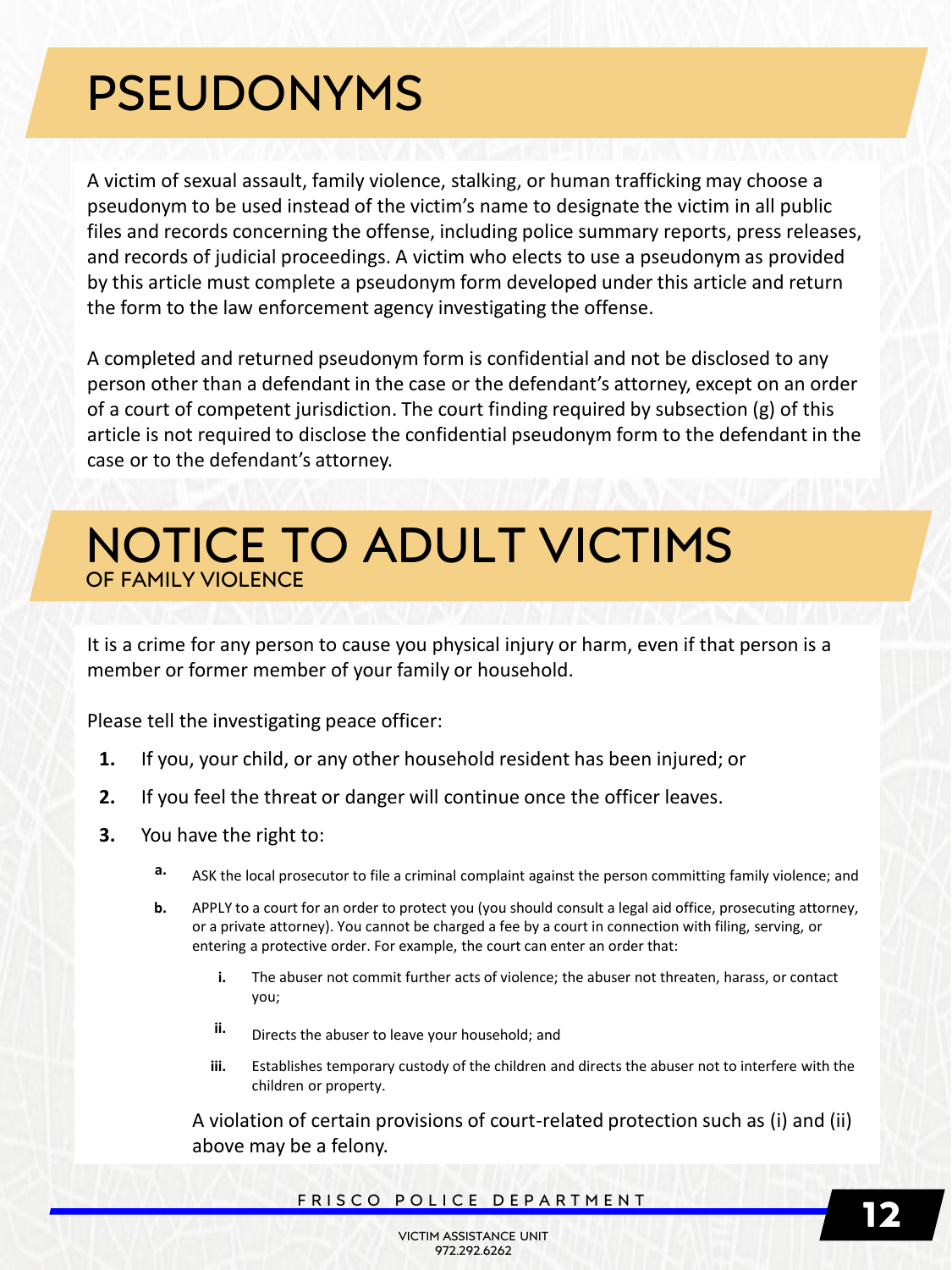# PSEUDONYMS

A victim of sexual assault, family violence, stalking, or human trafficking may choose a pseudonym to be used instead of the victim's name to designate the victim in all public files and records concerning the offense, including police summary reports, press releases, and records of judicial proceedings. A victim who elects to use a pseudonym as provided by this article must complete a pseudonym form developed under this article and return the form to the law enforcement agency investigating the offense.

A completed and returned pseudonym form is confidential and not be disclosed to any person other than a defendant in the case or the defendant's attorney, except on an order of a court of competent jurisdiction. The court finding required by subsection (g) of this article is not required to disclose the confidential pseudonym form to the defendant in the case or to the defendant's attorney.

### NOTICE TO ADULT VICTIMS OF FAMILY VIOLEN

It is a crime for any person to cause you physical injury or harm, even if that person is a member or former member of your family or household.

Please tell the investigating peace officer:

- **1.** If you, your child, or any other household resident has been injured; or
- **2.** If you feel the threat or danger will continue once the officer leaves.
- **3.** You have the right to:
	- **a.** ASK the local prosecutor to file a criminal complaint against the person committing family violence; and
	- **b.** APPLY to a court for an order to protect you (you should consult a legal aid office, prosecuting attorney, or a private attorney). You cannot be charged a fee by a court in connection with filing, serving, or entering a protective order. For example, the court can enter an order that:
		- **i.** The abuser not commit further acts of violence; the abuser not threaten, harass, or contact you;
		- **ii.** Directs the abuser to leave your household; and
		- **iii.** Establishes temporary custody of the children and directs the abuser not to interfere with the children or property.

A violation of certain provisions of court-related protection such as (i) and (ii) above may be a felony.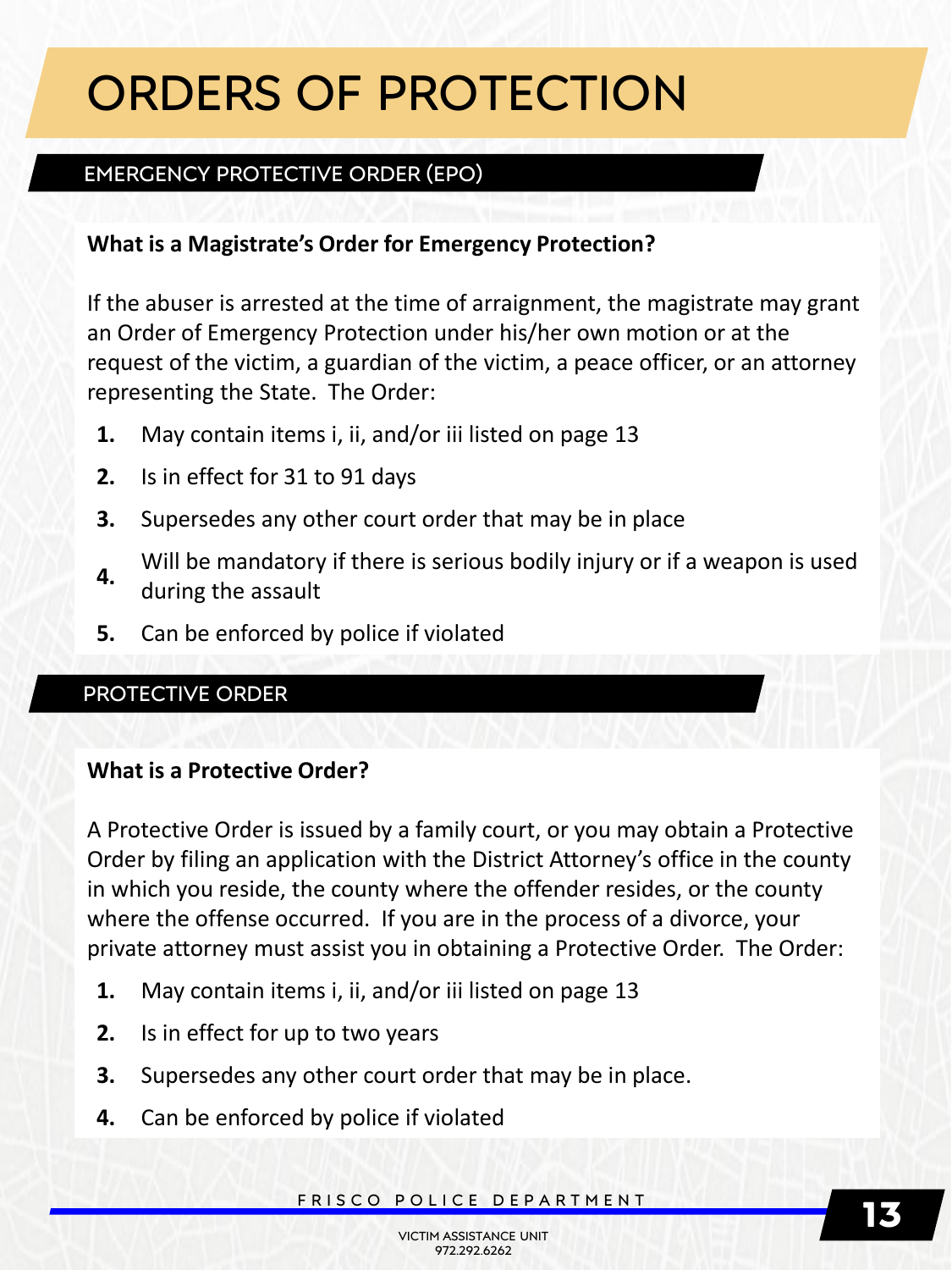## ORDERS OF PROTECTION

### EMERGENCY PROTECTIVE ORDER (EPO)

#### **What is a Magistrate's Order for Emergency Protection?**

If the abuser is arrested at the time of arraignment, the magistrate may grant an Order of Emergency Protection under his/her own motion or at the request of the victim, a guardian of the victim, a peace officer, or an attorney representing the State. The Order:

- **1.** May contain items i, ii, and/or iii listed on page 13
- **2.** Is in effect for 31 to 91 days
- **3.** Supersedes any other court order that may be in place
- **4.** Will be mandatory if there is serious bodily injury or if a weapon is used during the assault
- **5.** Can be enforced by police if violated

### PROTECTIVE ORDER

#### **What is a Protective Order?**

A Protective Order is issued by a family court, or you may obtain a Protective Order by filing an application with the District Attorney's office in the county in which you reside, the county where the offender resides, or the county where the offense occurred. If you are in the process of a divorce, your private attorney must assist you in obtaining a Protective Order. The Order:

- **1.** May contain items i, ii, and/or iii listed on page 13
- **2.** Is in effect for up to two years
- **3.** Supersedes any other court order that may be in place.
- **4.** Can be enforced by police if violated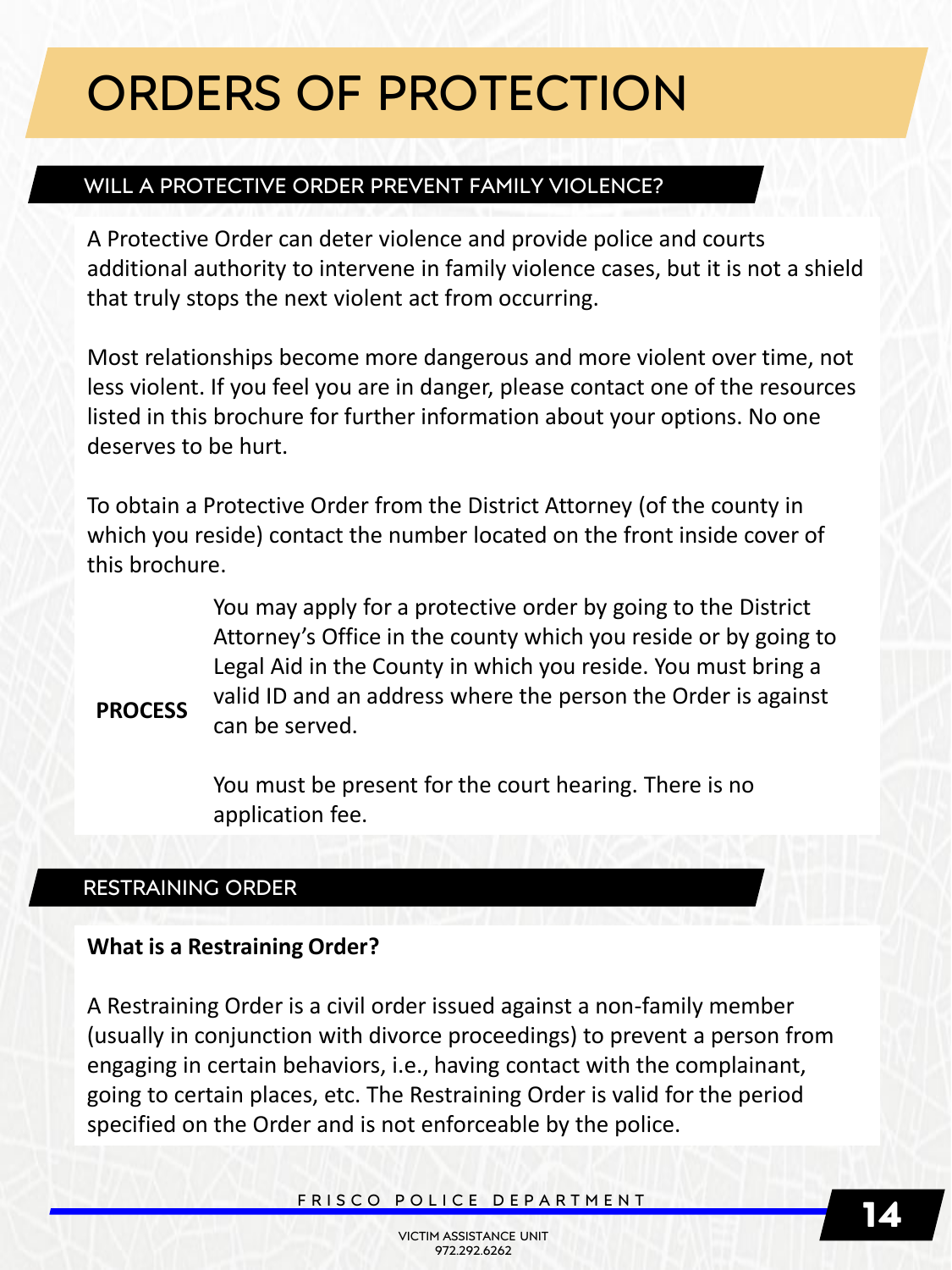## ORDERS OF PROTECTION

### WILL A PROTECTIVE ORDER PREVENT FAMILY VIOLENCE?

A Protective Order can deter violence and provide police and courts additional authority to intervene in family violence cases, but it is not a shield that truly stops the next violent act from occurring.

Most relationships become more dangerous and more violent over time, not less violent. If you feel you are in danger, please contact one of the resources listed in this brochure for further information about your options. No one deserves to be hurt.

To obtain a Protective Order from the District Attorney (of the county in which you reside) contact the number located on the front inside cover of this brochure.

> You may apply for a protective order by going to the District Attorney's Office in the county which you reside or by going to Legal Aid in the County in which you reside. You must bring a valid ID and an address where the person the Order is against can be served.

### **PROCESS**

You must be present for the court hearing. There is no application fee.

### RESTRAINING ORDER

#### **What is a Restraining Order?**

A Restraining Order is a civil order issued against a non-family member (usually in conjunction with divorce proceedings) to prevent a person from engaging in certain behaviors, i.e., having contact with the complainant, going to certain places, etc. The Restraining Order is valid for the period specified on the Order and is not enforceable by the police.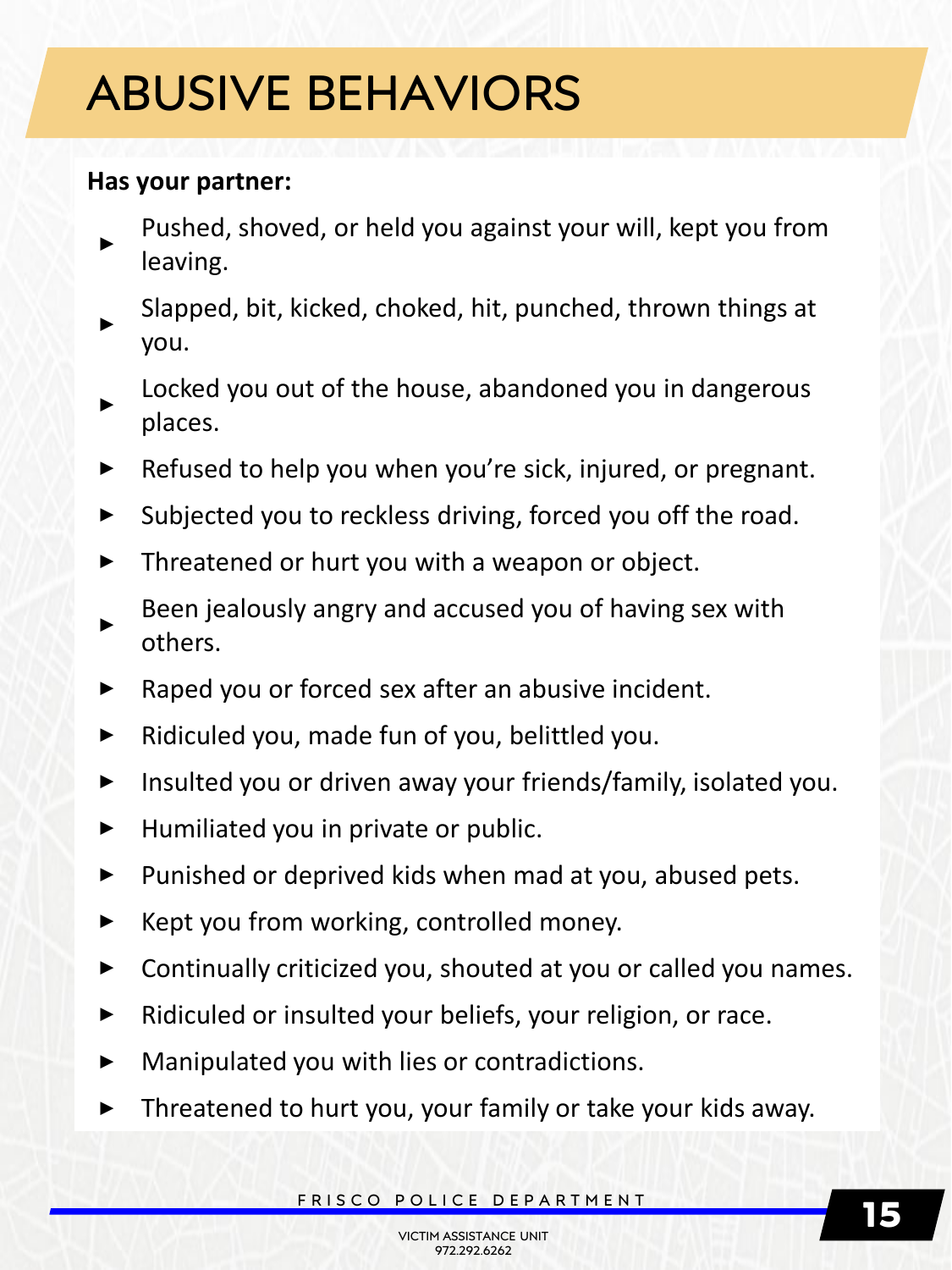# ABUSIVE BEHAVIORS

### **Has your partner:**

- **‣** Pushed, shoved, or held you against your will, kept you from leaving.
- **‣** Slapped, bit, kicked, choked, hit, punched, thrown things at you.
- **‣** Locked you out of the house, abandoned you in dangerous places.
- **‣** Refused to help you when you're sick, injured, or pregnant.
- **EXPOTECTIVE ORDER IS NOTE** Subjected you to reckless driving, forced you off the road.
	- Threatened or hurt you with a weapon or object.
	- **‣** Been jealously angry and accused you of having sex with others.
	- **‣** Raped you or forced sex after an abusive incident.
	- **‣** Ridiculed you, made fun of you, belittled you.
	- **‣** Insulted you or driven away your friends/family, isolated you.
	- **‣** Humiliated you in private or public.
	- **‣** Punished or deprived kids when mad at you, abused pets.
	- **‣** Kept you from working, controlled money.
	- **‣** Continually criticized you, shouted at you or called you names.
	- **‣** Ridiculed or insulted your beliefs, your religion, or race.
	- **‣** Manipulated you with lies or contradictions.
	- **‣** Threatened to hurt you, your family or take your kids away.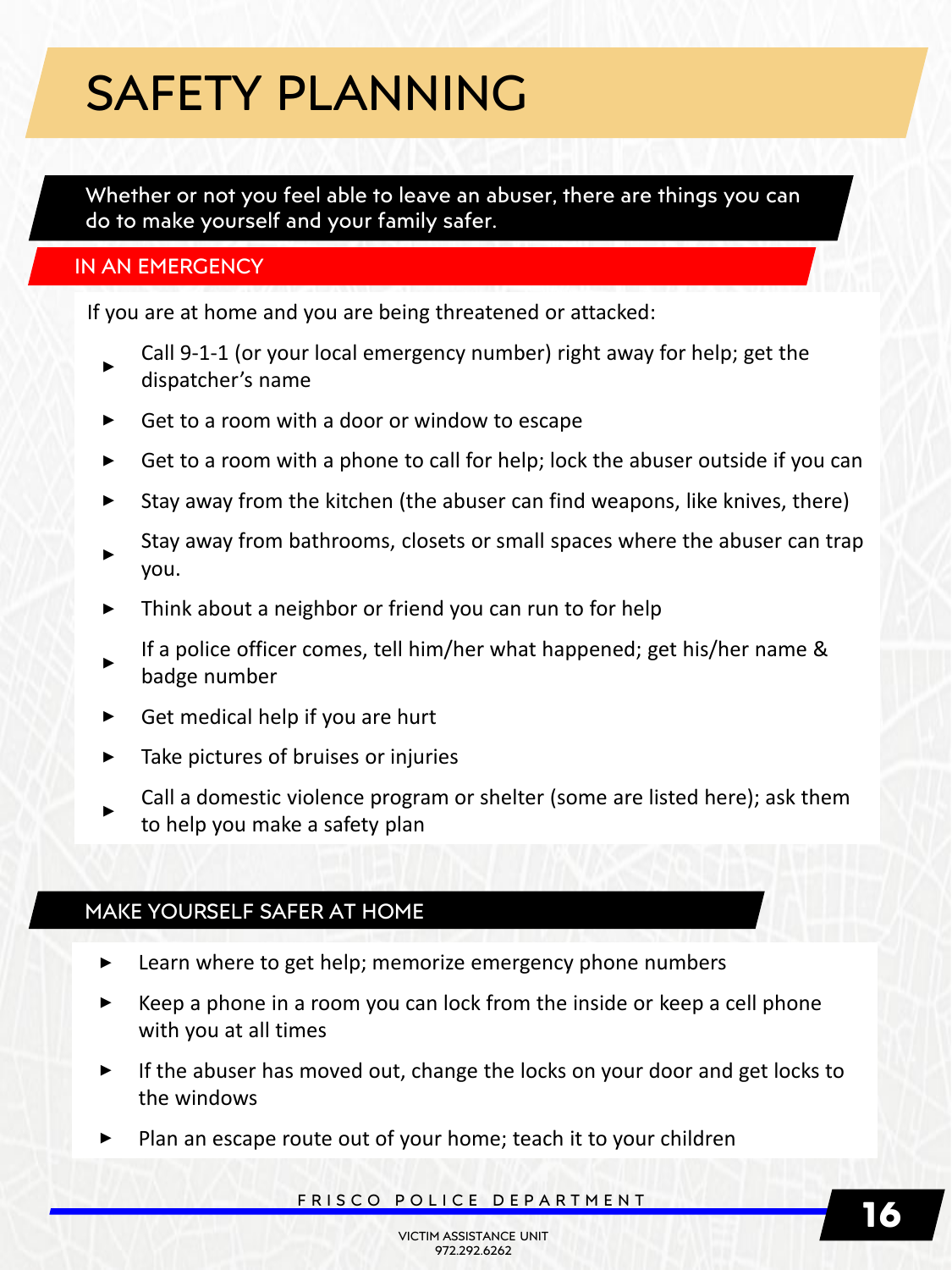## SAFETY PLANNING

Whether or not you feel able to leave an abuser, there are things you can do to make yourself and your family safer.

#### IN AN EMERGENCY

If you are at home and you are being threatened or attacked:

- **‣** Call 9-1-1 (or your local emergency number) right away for help; get the dispatcher's name
- **‣** Get to a room with a door or window to escape
- **‣** Get to a room with a phone to call for help; lock the abuser outside if you can
- **‣** Stay away from the kitchen (the abuser can find weapons, like knives, there)
- **‣** Stay away from bathrooms, closets or small spaces where the abuser can trap you.
- Think about a neighbor or friend you can run to for help
- **‣** If a police officer comes, tell him/her what happened; get his/her name & badge number
- **‣** Get medical help if you are hurt
- Take pictures of bruises or injuries
- **‣** Call a domestic violence program or shelter (some are listed here); ask them to help you make a safety plan

#### MAKE YOURSELF SAFER AT HOME

- **‣** Learn where to get help; memorize emergency phone numbers
- **‣** Keep a phone in a room you can lock from the inside or keep a cell phone with you at all times
- **‣** If the abuser has moved out, change the locks on your door and get locks to the windows
- Plan an escape route out of your home; teach it to your children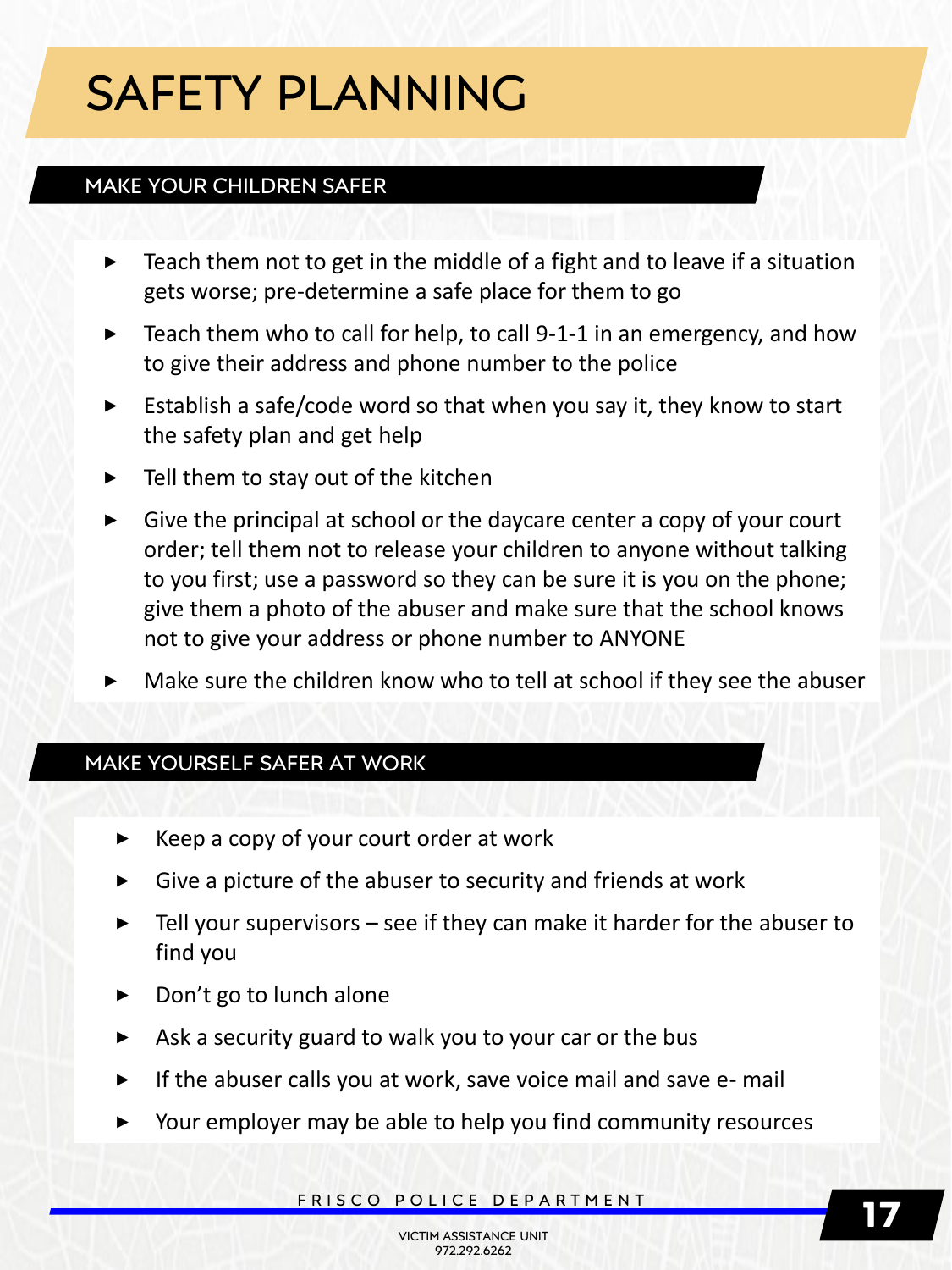# SAFETY PLANNING

### MAKE YOUR CHILDREN SAFER

- **‣** Teach them not to get in the middle of a fight and to leave if a situation gets worse; pre-determine a safe place for them to go
- **‣** Teach them who to call for help, to call 9-1-1 in an emergency, and how to give their address and phone number to the police
- **‣** Establish a safe/code word so that when you say it, they know to start the safety plan and get help
- **‣** Tell them to stay out of the kitchen
- **‣** Give the principal at school or the daycare center a copy of your court order; tell them not to release your children to anyone without talking to you first; use a password so they can be sure it is you on the phone; give them a photo of the abuser and make sure that the school knows not to give your address or phone number to ANYONE
- Make sure the children know who to tell at school if they see the abuser

### MAKE YOURSELF SAFER AT WORK

- **‣** Keep a copy of your court order at work
- **‣** Give a picture of the abuser to security and friends at work
- **‣** Tell your supervisors see if they can make it harder for the abuser to find you
- **‣** Don't go to lunch alone
- **‣** Ask a security guard to walk you to your car or the bus
- If the abuser calls you at work, save voice mail and save e- mail
- **‣** Your employer may be able to help you find community resources